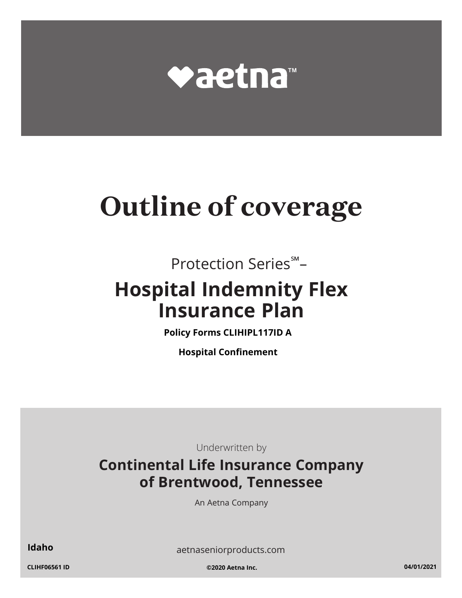

# **Outline of coverage**

Protection Series℠–

## **Hospital Indemnity Flex Insurance Plan**

**Policy Forms CLIHIPL117ID A**

**Hospital Confinement**

Underwritten by

### **Continental Life Insurance Company of Brentwood, Tennessee**

An Aetna Company

**Idaho** [aetnaseniorproducts.com](http://aetnaseniorproducts.com)

**CLIHF06561 ID ©2020 Aetna Inc. 04/01/2021**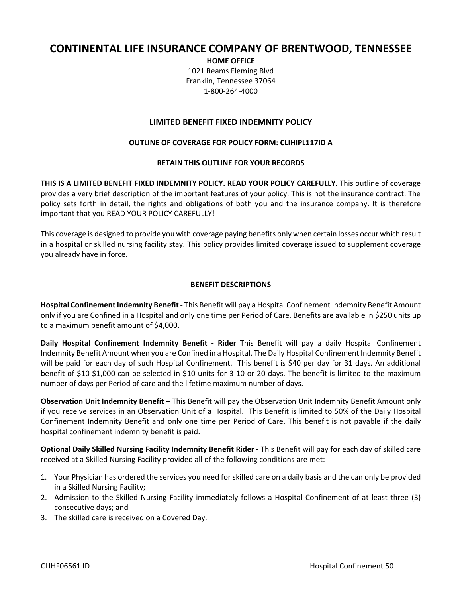#### **CONTINENTAL LIFE INSURANCE COMPANY OF BRENTWOOD, TENNESSEE**

**HOME OFFICE** 1021 Reams Fleming Blvd Franklin, Tennessee 37064 1‐800‐264‐4000

#### **LIMITED BENEFIT FIXED INDEMNITY POLICY**

#### **OUTLINE OF COVERAGE FOR POLICY FORM: CLIHIPL117ID A**

#### **RETAIN THIS OUTLINE FOR YOUR RECORDS**

**THIS IS A LIMITED BENEFIT FIXED INDEMNITY POLICY. READ YOUR POLICY CAREFULLY.** This outline of coverage provides a very brief description of the important features of your policy. This is not the insurance contract. The policy sets forth in detail, the rights and obligations of both you and the insurance company. It is therefore important that you READ YOUR POLICY CAREFULLY!

This coverage is designed to provide you with coverage paying benefits only when certain losses occur which result in a hospital or skilled nursing facility stay. This policy provides limited coverage issued to supplement coverage you already have in force.

#### **BENEFIT DESCRIPTIONS**

**Hospital Confinement Indemnity Benefit ‐** This Benefit will pay a Hospital Confinement Indemnity Benefit Amount only if you are Confined in a Hospital and only one time per Period of Care. Benefits are available in \$250 units up to a maximum benefit amount of \$4,000.

**Daily Hospital Confinement Indemnity Benefit ‐ Rider** This Benefit will pay a daily Hospital Confinement Indemnity Benefit Amount when you are Confined in a Hospital. The Daily Hospital Confinement Indemnity Benefit will be paid for each day of such Hospital Confinement. This benefit is \$40 per day for 31 days. An additional benefit of \$10‐\$1,000 can be selected in \$10 units for 3‐10 or 20 days. The benefit is limited to the maximum number of days per Period of care and the lifetime maximum number of days.

**Observation Unit Indemnity Benefit –** This Benefit will pay the Observation Unit Indemnity Benefit Amount only if you receive services in an Observation Unit of a Hospital. This Benefit is limited to 50% of the Daily Hospital Confinement Indemnity Benefit and only one time per Period of Care. This benefit is not payable if the daily hospital confinement indemnity benefit is paid.

**Optional Daily Skilled Nursing Facility Indemnity Benefit Rider ‐** This Benefit will pay for each day of skilled care received at a Skilled Nursing Facility provided all of the following conditions are met:

- 1. Your Physician has ordered the services you need for skilled care on a daily basis and the can only be provided in a Skilled Nursing Facility;
- 2. Admission to the Skilled Nursing Facility immediately follows a Hospital Confinement of at least three (3) consecutive days; and
- 3. The skilled care is received on a Covered Day.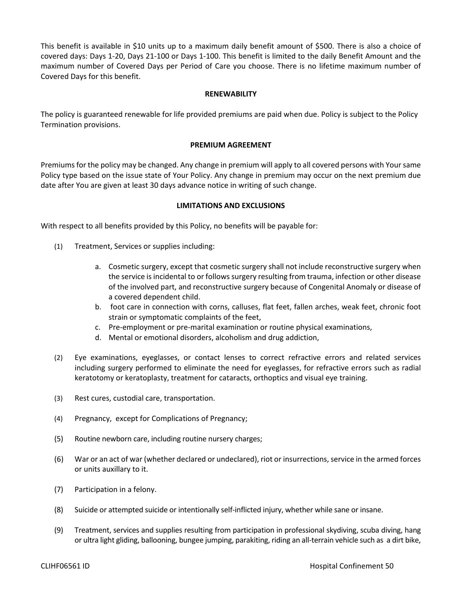This benefit is available in \$10 units up to a maximum daily benefit amount of \$500. There is also a choice of covered days: Days 1‐20, Days 21‐100 or Days 1‐100. This benefit is limited to the daily Benefit Amount and the maximum number of Covered Days per Period of Care you choose. There is no lifetime maximum number of Covered Days for this benefit.

#### **RENEWABILITY**

The policy is guaranteed renewable for life provided premiums are paid when due. Policy is subject to the Policy Termination provisions.

#### **PREMIUM AGREEMENT**

Premiums for the policy may be changed. Any change in premium will apply to all covered persons with Your same Policy type based on the issue state of Your Policy. Any change in premium may occur on the next premium due date after You are given at least 30 days advance notice in writing of such change.

#### **LIMITATIONS AND EXCLUSIONS**

With respect to all benefits provided by this Policy, no benefits will be payable for:

- (1) Treatment, Services or supplies including:
	- a. Cosmetic surgery, except that cosmetic surgery shall not include reconstructive surgery when the service is incidental to or follows surgery resulting from trauma, infection or other disease of the involved part, and reconstructive surgery because of Congenital Anomaly or disease of a covered dependent child.
	- b. foot care in connection with corns, calluses, flat feet, fallen arches, weak feet, chronic foot strain or symptomatic complaints of the feet,
	- c. Pre‐employment or pre‐marital examination or routine physical examinations,
	- d. Mental or emotional disorders, alcoholism and drug addiction,
- (2) Eye examinations, eyeglasses, or contact lenses to correct refractive errors and related services including surgery performed to eliminate the need for eyeglasses, for refractive errors such as radial keratotomy or keratoplasty, treatment for cataracts, orthoptics and visual eye training.
- (3) Rest cures, custodial care, transportation.
- (4) Pregnancy, except for Complications of Pregnancy;
- (5) Routine newborn care, including routine nursery charges;
- (6) War or an act of war (whether declared or undeclared), riot or insurrections, service in the armed forces or units auxillary to it.
- (7) Participation in a felony.
- (8) Suicide or attempted suicide or intentionally self‐inflicted injury, whether while sane or insane.
- (9) Treatment, services and supplies resulting from participation in professional skydiving, scuba diving, hang or ultra light gliding, ballooning, bungee jumping, parakiting, riding an all‐terrain vehicle such as a dirt bike,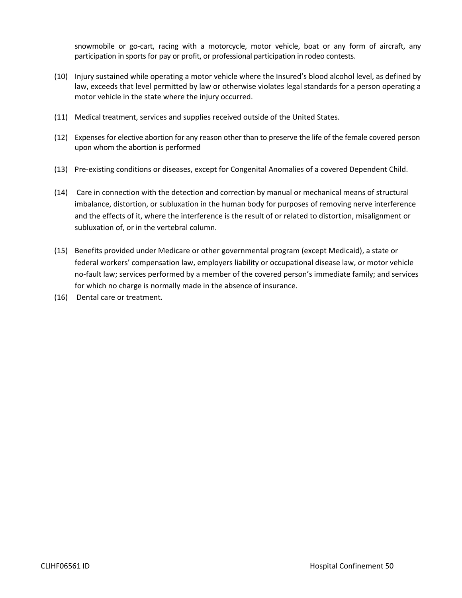snowmobile or go-cart, racing with a motorcycle, motor vehicle, boat or any form of aircraft, any participation in sports for pay or profit, or professional participation in rodeo contests.

- (10) Injury sustained while operating a motor vehicle where the Insured's blood alcohol level, as defined by law, exceeds that level permitted by law or otherwise violates legal standards for a person operating a motor vehicle in the state where the injury occurred.
- (11) Medical treatment, services and supplies received outside of the United States.
- (12) Expenses for elective abortion for any reason other than to preserve the life of the female covered person upon whom the abortion is performed
- (13) Pre‐existing conditions or diseases, except for Congenital Anomalies of a covered Dependent Child.
- (14) Care in connection with the detection and correction by manual or mechanical means of structural imbalance, distortion, or subluxation in the human body for purposes of removing nerve interference and the effects of it, where the interference is the result of or related to distortion, misalignment or subluxation of, or in the vertebral column.
- (15) Benefits provided under Medicare or other governmental program (except Medicaid), a state or federal workers' compensation law, employers liability or occupational disease law, or motor vehicle no-fault law; services performed by a member of the covered person's immediate family; and services for which no charge is normally made in the absence of insurance.
- (16) Dental care or treatment.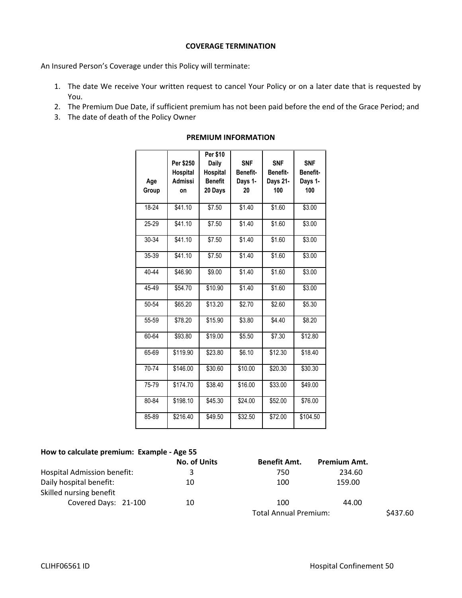#### **COVERAGE TERMINATION**

An Insured Person's Coverage under this Policy will terminate:

- 1. The date We receive Your written request to cancel Your Policy or on a later date that is requested by You.
- 2. The Premium Due Date, if sufficient premium has not been paid before the end of the Grace Period; and
- 3. The date of death of the Policy Owner

| Age<br>Group | Per \$250<br>Hospital<br><b>Admissi</b><br>on | Per \$10<br>Daily<br>Hospital<br><b>Benefit</b><br>20 Days | <b>SNF</b><br>Benefit-<br>Days 1-<br>20 | <b>SNF</b><br>Benefit-<br>Days 21-<br>100 | <b>SNF</b><br>Benefit-<br>Days 1-<br>100 |
|--------------|-----------------------------------------------|------------------------------------------------------------|-----------------------------------------|-------------------------------------------|------------------------------------------|
| 18-24        | \$41.10                                       | \$7.50                                                     | \$1.40                                  | \$1.60                                    | \$3.00                                   |
| 25-29        | \$41.10                                       | \$7.50                                                     | \$1.40                                  | \$1.60                                    | \$3.00                                   |
| 30-34        | \$41.10                                       | \$7.50                                                     | \$1.40                                  | \$1.60                                    | \$3.00                                   |
| 35-39        | \$41.10                                       | \$7.50                                                     | \$1.40                                  | \$1.60                                    | \$3.00                                   |
| 40-44        | \$46.90                                       | \$9.00                                                     | \$1.40                                  | \$1.60                                    | \$3.00                                   |
| 45-49        | \$54.70                                       | \$10.90                                                    | \$1.40                                  | \$1.60                                    | \$3.00                                   |
| 50-54        | \$65.20                                       | \$13.20                                                    | \$2.70                                  | \$2.60                                    | \$5.30                                   |
| 55-59        | \$78.20                                       | \$15.90                                                    | \$3.80                                  | \$4.40                                    | \$8.20                                   |
| 60-64        | \$93.80                                       | \$19.00                                                    | \$5.50                                  | \$7.30                                    | \$12.80                                  |
| 65-69        | \$119.90                                      | \$23.80                                                    | \$6.10                                  | \$12.30                                   | \$18.40                                  |
| 70-74        | \$146.00                                      | \$30.60                                                    | \$10.00                                 | \$20.30                                   | \$30.30                                  |
| 75-79        | \$174.70                                      | \$38.40                                                    | \$16.00                                 | \$33.00                                   | \$49.00                                  |
| 80-84        | \$198.10                                      | \$45.30                                                    | \$24.00                                 | \$52.00                                   | \$76.00                                  |
| 85-89        | \$216.40                                      | \$49.50                                                    | \$32.50                                 | \$72.00                                   | \$104.50                                 |

#### **PREMIUM INFORMATION**

#### **How to calculate premium: Example ‐ Age 55**

|                                                    | <b>No. of Units</b> | <b>Benefit Amt.</b>          | <b>Premium Amt.</b> |          |
|----------------------------------------------------|---------------------|------------------------------|---------------------|----------|
| <b>Hospital Admission benefit:</b>                 | 3                   | 750                          | 234.60              |          |
| Daily hospital benefit:<br>Skilled nursing benefit | 10                  | 100                          | 159.00              |          |
| Covered Days: 21-100                               | 10                  | 100                          | 44.00               |          |
|                                                    |                     | <b>Total Annual Premium:</b> |                     | \$437.60 |